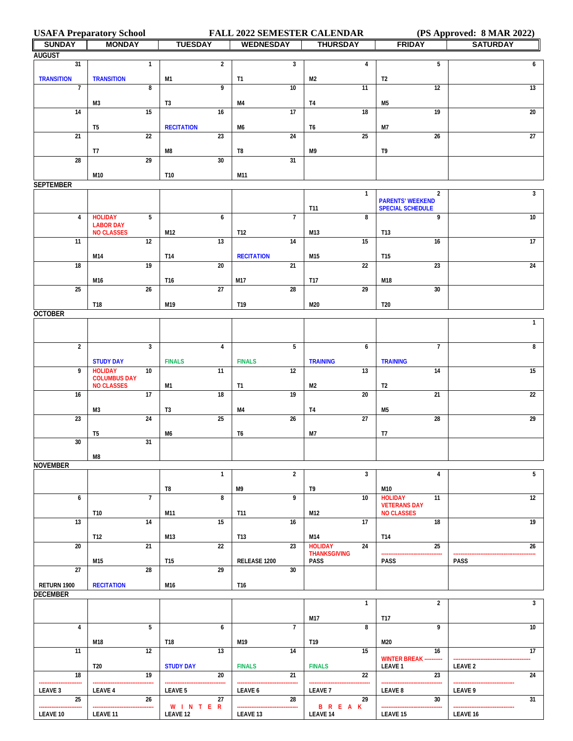**USAFA Preparatory School FALL 2022 SEMESTER CALENDAR (PS Approved: 8 MAR 2022)**

| <b>SUNDAY</b>     | <b>MONDAY</b>                            | <b>TUESDAY</b>          | <b>WEDNESDAY</b>                 | <b>THURSDAY</b>             | <b>FRIDAY</b>                                      | <b>SATURDAY</b> |
|-------------------|------------------------------------------|-------------------------|----------------------------------|-----------------------------|----------------------------------------------------|-----------------|
| <b>AUGUST</b>     |                                          |                         |                                  |                             |                                                    |                 |
| 31                | $\mathbf{1}$                             | $\overline{2}$          | 3                                | 4                           | 5                                                  | 6               |
| <b>TRANSITION</b> | <b>TRANSITION</b>                        | M1                      | T1                               | M2                          | T <sub>2</sub>                                     |                 |
| $\overline{7}$    | 8                                        | 9                       | 10                               | 11                          | 12                                                 | 13              |
|                   | M3                                       | T3                      | M4                               | T4                          | M5                                                 |                 |
| 14                | 15                                       | 16                      | 17                               | 18                          | 19                                                 | $\overline{20}$ |
|                   |                                          |                         |                                  |                             |                                                    |                 |
| 21                | T <sub>5</sub><br>$\overline{22}$        | <b>RECITATION</b><br>23 | M6<br>24                         | T6<br>25                    | M7<br>$\overline{26}$                              | $\overline{27}$ |
|                   |                                          |                         |                                  |                             |                                                    |                 |
|                   | T7                                       | M8                      | T8                               | M9                          | T9                                                 |                 |
| $\overline{28}$   | $\overline{29}$                          | 30                      | 31                               |                             |                                                    |                 |
|                   | M10                                      | T10                     | M11                              |                             |                                                    |                 |
| <b>SEPTEMBER</b>  |                                          |                         |                                  |                             |                                                    |                 |
|                   |                                          |                         |                                  | $\mathbf{1}$                | $\overline{2}$                                     | $\mathbf{3}$    |
|                   |                                          |                         |                                  | T11                         | <b>PARENTS' WEEKEND</b><br><b>SPECIAL SCHEDULE</b> |                 |
| $\overline{4}$    | <b>HOLIDAY</b><br>5                      | 6                       | $\overline{7}$                   | 8                           | 9                                                  | 10              |
|                   | <b>LABOR DAY</b><br><b>NO CLASSES</b>    | M12                     | T12                              | M13                         | T13                                                |                 |
| 11                | 12                                       | 13                      | 14                               | 15                          | 16                                                 | 17              |
|                   |                                          |                         |                                  |                             |                                                    |                 |
| 18                | M14<br>19                                | T14<br>20               | <b>RECITATION</b><br>21          | M15<br>$\overline{22}$      | T15<br>23                                          | 24              |
|                   |                                          |                         |                                  |                             |                                                    |                 |
|                   | M16                                      | T16                     | M17                              | T17                         | M18                                                |                 |
| 25                | 26                                       | 27                      | 28                               | 29                          | 30                                                 |                 |
|                   | <b>T18</b>                               | M19                     | T19                              | M20                         | <b>T20</b>                                         |                 |
| <b>OCTOBER</b>    |                                          |                         |                                  |                             |                                                    |                 |
|                   |                                          |                         |                                  |                             |                                                    | $\mathbf{1}$    |
|                   |                                          |                         |                                  |                             |                                                    |                 |
| $\overline{2}$    | 3                                        | 4                       | 5                                | 6                           | $\overline{7}$                                     | 8               |
|                   |                                          |                         |                                  |                             |                                                    |                 |
| 9                 | <b>STUDY DAY</b><br><b>HOLIDAY</b><br>10 | <b>FINALS</b><br>11     | <b>FINALS</b><br>$\overline{12}$ | <b>TRAINING</b><br>13       | <b>TRAINING</b><br>14                              | 15              |
|                   | <b>COLUMBUS DAY</b>                      |                         |                                  |                             |                                                    |                 |
|                   | <b>NO CLASSES</b>                        | M1                      | <b>T1</b>                        | M2                          | T <sub>2</sub>                                     |                 |
| 16                | 17                                       | $\overline{18}$         | 19                               | $\overline{20}$             | $\overline{21}$                                    | $\overline{22}$ |
|                   | M3                                       | T3                      | M4                               | T <sub>4</sub>              | M5                                                 |                 |
| 23                | 24                                       | 25                      | $\overline{26}$                  | 27                          | $\overline{28}$                                    | 29              |
|                   | T5                                       | M6                      | T <sub>6</sub>                   | M7                          | T7                                                 |                 |
| 30                | 31                                       |                         |                                  |                             |                                                    |                 |
|                   | M8                                       |                         |                                  |                             |                                                    |                 |
| <b>NOVEMBER</b>   |                                          |                         |                                  |                             |                                                    |                 |
|                   |                                          | $\mathbf{1}$            | $\overline{2}$                   | 3                           | 4                                                  | 5               |
|                   |                                          |                         |                                  |                             |                                                    |                 |
| 6                 | $\overline{7}$                           | T8<br>8                 | M9<br>9                          | T9<br>10                    | M10<br><b>HOLIDAY</b><br>11                        | 12              |
|                   |                                          |                         |                                  |                             | <b>VETERANS DAY</b>                                |                 |
|                   | T10                                      | M11                     | T11                              | M12                         | <b>NO CLASSES</b>                                  |                 |
| 13                | 14                                       | 15                      | 16                               | 17                          | 18                                                 | 19              |
|                   | T12                                      | M13                     | T13                              | M14                         | T14                                                |                 |
| $\overline{20}$   | $\overline{21}$                          | $\overline{22}$         | 23                               | <b>HOLIDAY</b><br>24        | 25                                                 | 26              |
|                   | M15                                      | <b>T15</b>              | RELEASE 1200                     | <b>THANKSGIVING</b><br>PASS | PASS                                               | <b>PASS</b>     |
| $\overline{27}$   | 28                                       | 29                      | 30                               |                             |                                                    |                 |
| RETURN 1900       | <b>RECITATION</b>                        |                         | T16                              |                             |                                                    |                 |
| <b>DECEMBER</b>   |                                          | M16                     |                                  |                             |                                                    |                 |
|                   |                                          |                         |                                  | $\mathbf{1}$                | $\overline{2}$                                     | 3               |
|                   |                                          |                         |                                  |                             |                                                    |                 |
|                   | 5                                        |                         | $\overline{7}$                   | M17<br>8                    | T17<br>9                                           | 10              |
| 4                 |                                          | 6                       |                                  |                             |                                                    |                 |
|                   | M18                                      | T18                     | M19                              | T19                         | M20                                                |                 |
| 11                | 12                                       | 13                      | 14                               | 15                          | 16                                                 | 17              |
|                   | <b>T20</b>                               | <b>STUDY DAY</b>        | <b>FINALS</b>                    | <b>FINALS</b>               | <b>WINTER BREAK ----------</b><br><b>LEAVE 1</b>   | <b>LEAVE 2</b>  |
| 18                | 19                                       | 20                      | 21                               | 22                          | 23                                                 | 24              |
|                   |                                          |                         | .                                |                             |                                                    |                 |
| LEAVE 3<br>25     | <b>LEAVE 4</b><br>26                     | <b>LEAVE 5</b><br>27    | LEAVE 6<br>28                    | <b>LEAVE 7</b><br>29        | LEAVE 8<br>30                                      | LEAVE 9<br>31   |
| -------------     |                                          | W I N T E R             | .<br>                            | <b>BREAK</b>                |                                                    |                 |
| <b>LEAVE 10</b>   | <b>LEAVE 11</b>                          | <b>LEAVE 12</b>         | LEAVE 13                         | <b>LEAVE 14</b>             | <b>LEAVE 15</b>                                    | <b>LEAVE 16</b> |